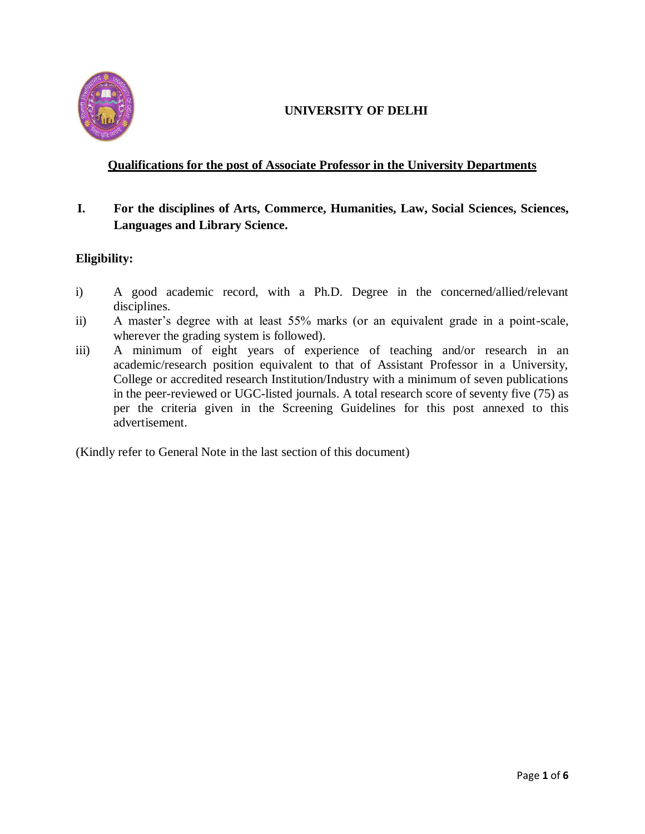

# **UNIVERSITY OF DELHI**

# **Qualifications for the post of Associate Professor in the University Departments**

# **I. For the disciplines of Arts, Commerce, Humanities, Law, Social Sciences, Sciences, Languages and Library Science.**

# **Eligibility:**

- i) A good academic record, with a Ph.D. Degree in the concerned/allied/relevant disciplines.
- ii) A master's degree with at least 55% marks (or an equivalent grade in a point-scale, wherever the grading system is followed).
- iii) A minimum of eight years of experience of teaching and/or research in an academic/research position equivalent to that of Assistant Professor in a University, College or accredited research Institution/Industry with a minimum of seven publications in the peer-reviewed or UGC-listed journals. A total research score of seventy five (75) as per the criteria given in the Screening Guidelines for this post annexed to this advertisement.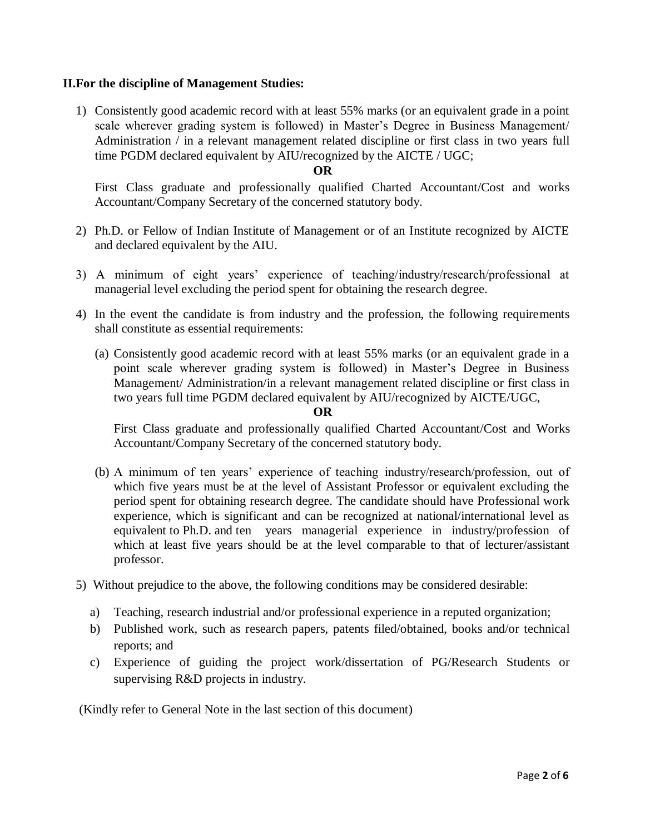## **II.For the discipline of Management Studies:**

1) Consistently good academic record with at least 55% marks (or an equivalent grade in a point scale wherever grading system is followed) in Master's Degree in Business Management/ Administration / in a relevant management related discipline or first class in two years full time PGDM declared equivalent by AIU/recognized by the AICTE / UGC;

#### **OR**

First Class graduate and professionally qualified Charted Accountant/Cost and works Accountant/Company Secretary of the concerned statutory body.

- 2) Ph.D. or Fellow of Indian Institute of Management or of an Institute recognized by AICTE and declared equivalent by the AIU.
- 3) A minimum of eight years' experience of teaching/industry/research/professional at managerial level excluding the period spent for obtaining the research degree.
- 4) In the event the candidate is from industry and the profession, the following requirements shall constitute as essential requirements:
	- (a) Consistently good academic record with at least 55% marks (or an equivalent grade in a point scale wherever grading system is followed) in Master's Degree in Business Management/ Administration/in a relevant management related discipline or first class in two years full time PGDM declared equivalent by AIU/recognized by AICTE/UGC,

#### **OR**

First Class graduate and professionally qualified Charted Accountant/Cost and Works Accountant/Company Secretary of the concerned statutory body.

- (b) A minimum of ten years' experience of teaching industry/research/profession, out of which five years must be at the level of Assistant Professor or equivalent excluding the period spent for obtaining research degree. The candidate should have Professional work experience, which is significant and can be recognized at national/international level as equivalent to Ph.D. and ten years managerial experience in industry/profession of which at least five years should be at the level comparable to that of lecturer/assistant professor.
- 5) Without prejudice to the above, the following conditions may be considered desirable:
	- a) Teaching, research industrial and/or professional experience in a reputed organization;
	- b) Published work, such as research papers, patents filed/obtained, books and/or technical reports; and
	- c) Experience of guiding the project work/dissertation of PG/Research Students or supervising R&D projects in industry.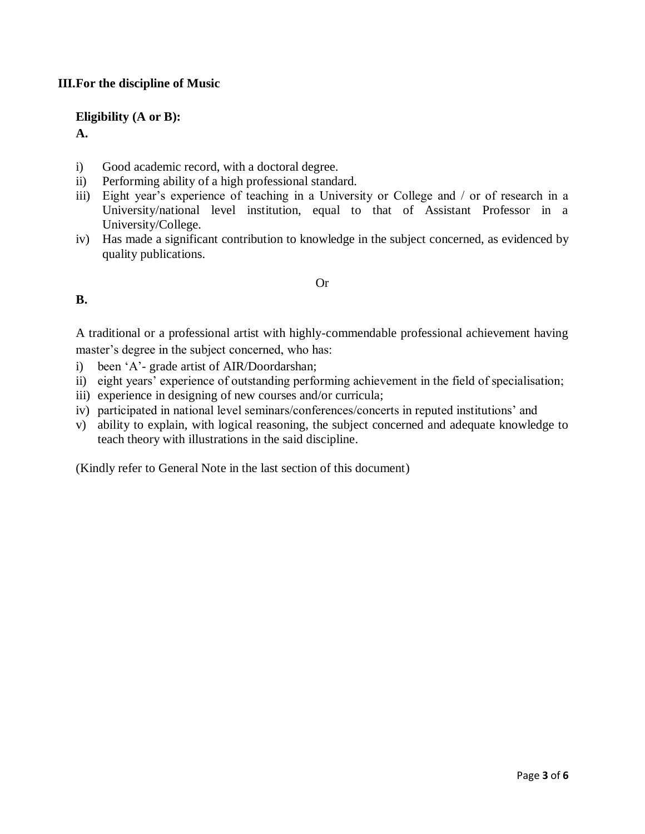# **III.For the discipline of Music**

## **Eligibility (A or B):**

**A.** 

- i) Good academic record, with a doctoral degree.
- ii) Performing ability of a high professional standard.
- iii) Eight year's experience of teaching in a University or College and / or of research in a University/national level institution, equal to that of Assistant Professor in a University/College.
- iv) Has made a significant contribution to knowledge in the subject concerned, as evidenced by quality publications.

#### Or

## **B.**

A traditional or a professional artist with highly-commendable professional achievement having master's degree in the subject concerned, who has:

- i) been 'A'- grade artist of AIR/Doordarshan;
- ii) eight years' experience of outstanding performing achievement in the field of specialisation;
- iii) experience in designing of new courses and/or curricula;
- iv) participated in national level seminars/conferences/concerts in reputed institutions' and
- v) ability to explain, with logical reasoning, the subject concerned and adequate knowledge to teach theory with illustrations in the said discipline.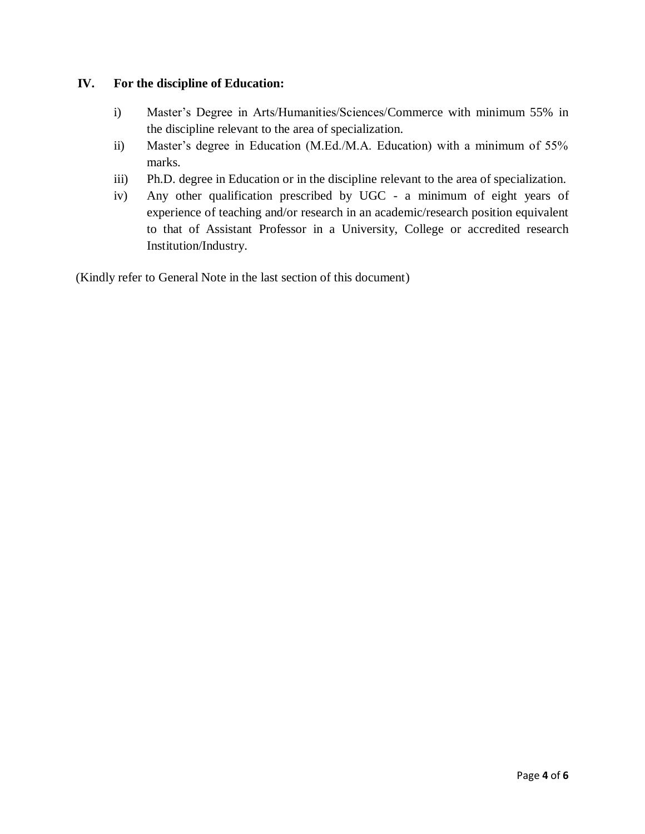# **IV. For the discipline of Education:**

- i) Master's Degree in Arts/Humanities/Sciences/Commerce with minimum 55% in the discipline relevant to the area of specialization.
- ii) Master's degree in Education (M.Ed./M.A. Education) with a minimum of 55% marks.
- iii) Ph.D. degree in Education or in the discipline relevant to the area of specialization.
- iv) Any other qualification prescribed by UGC a minimum of eight years of experience of teaching and/or research in an academic/research position equivalent to that of Assistant Professor in a University, College or accredited research Institution/Industry.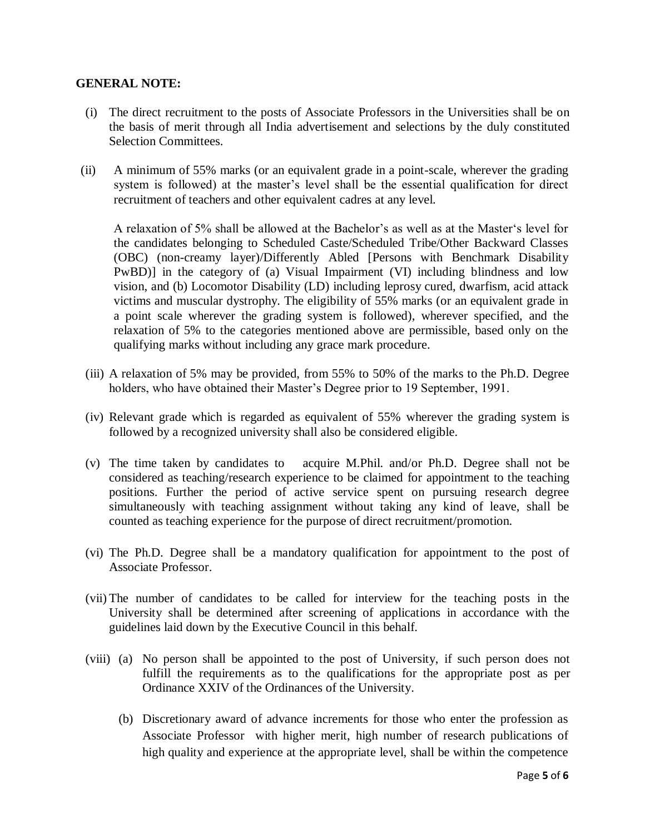## **GENERAL NOTE:**

- (i) The direct recruitment to the posts of Associate Professors in the Universities shall be on the basis of merit through all India advertisement and selections by the duly constituted Selection Committees.
- (ii) A minimum of 55% marks (or an equivalent grade in a point-scale, wherever the grading system is followed) at the master's level shall be the essential qualification for direct recruitment of teachers and other equivalent cadres at any level.

A relaxation of 5% shall be allowed at the Bachelor's as well as at the Master's level for the candidates belonging to Scheduled Caste/Scheduled Tribe/Other Backward Classes (OBC) (non-creamy layer)/Differently Abled [Persons with Benchmark Disability PwBD)] in the category of (a) Visual Impairment (VI) including blindness and low vision, and (b) Locomotor Disability (LD) including leprosy cured, dwarfism, acid attack victims and muscular dystrophy. The eligibility of 55% marks (or an equivalent grade in a point scale wherever the grading system is followed), wherever specified, and the relaxation of 5% to the categories mentioned above are permissible, based only on the qualifying marks without including any grace mark procedure.

- (iii) A relaxation of 5% may be provided, from 55% to 50% of the marks to the Ph.D. Degree holders, who have obtained their Master's Degree prior to 19 September, 1991.
- (iv) Relevant grade which is regarded as equivalent of 55% wherever the grading system is followed by a recognized university shall also be considered eligible.
- (v) The time taken by candidates to acquire M.Phil. and/or Ph.D. Degree shall not be considered as teaching/research experience to be claimed for appointment to the teaching positions. Further the period of active service spent on pursuing research degree simultaneously with teaching assignment without taking any kind of leave, shall be counted as teaching experience for the purpose of direct recruitment/promotion.
- (vi) The Ph.D. Degree shall be a mandatory qualification for appointment to the post of Associate Professor.
- (vii) The number of candidates to be called for interview for the teaching posts in the University shall be determined after screening of applications in accordance with the guidelines laid down by the Executive Council in this behalf.
- (viii) (a) No person shall be appointed to the post of University, if such person does not fulfill the requirements as to the qualifications for the appropriate post as per Ordinance XXIV of the Ordinances of the University.
	- (b) Discretionary award of advance increments for those who enter the profession as Associate Professor with higher merit, high number of research publications of high quality and experience at the appropriate level, shall be within the competence